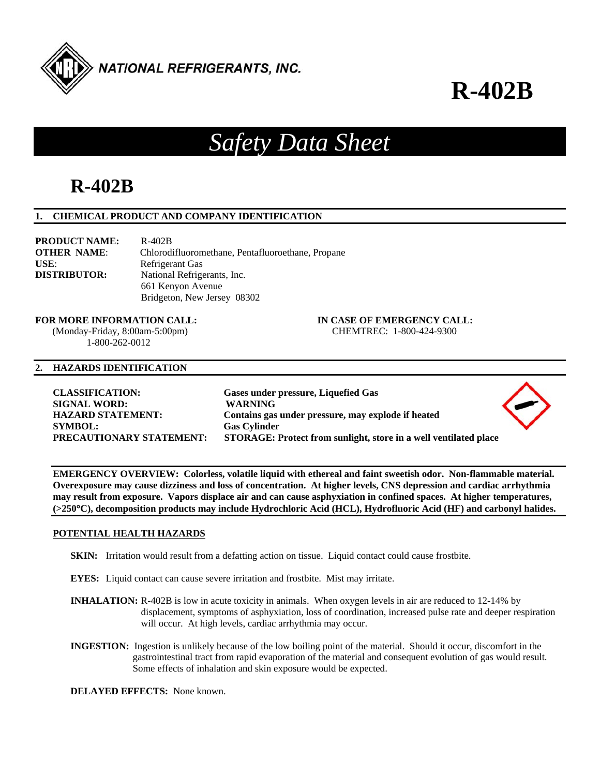

# **R-402B**

## *Safety Data Sheet*

## **R-402B**

#### **1. CHEMICAL PRODUCT AND COMPANY IDENTIFICATION**

**PRODUCT NAME:** R-402B **OTHER NAME**: Chlorodifluoromethane, Pentafluoroethane, Propane USE: Refrigerant Gas **DISTRIBUTOR:** National Refrigerants, Inc. 661 Kenyon Avenue Bridgeton, New Jersey 08302

**FOR MORE INFORMATION CALL: IN CASE OF EMERGENCY CALL:** 

 (Monday-Friday, 8:00am-5:00pm) CHEMTREC: 1-800-424-9300 1-800-262-0012

#### **2. HAZARDS IDENTIFICATION**

**SIGNAL WORD: WARNING SYMBOL: Gas Cylinder** 

**CLASSIFICATION: Gases under pressure, Liquefied Gas HAZARD STATEMENT: Contains gas under pressure, may explode if heated PRECAUTIONARY STATEMENT: STORAGE: Protect from sunlight, store in a well ventilated place** 



**EMERGENCY OVERVIEW: Colorless, volatile liquid with ethereal and faint sweetish odor. Non-flammable material. Overexposure may cause dizziness and loss of concentration. At higher levels, CNS depression and cardiac arrhythmia may result from exposure. Vapors displace air and can cause asphyxiation in confined spaces. At higher temperatures, (>250C), decomposition products may include Hydrochloric Acid (HCL), Hydrofluoric Acid (HF) and carbonyl halides.** 

#### **POTENTIAL HEALTH HAZARDS**

- **SKIN:** Irritation would result from a defatting action on tissue. Liquid contact could cause frostbite.
- **EYES:** Liquid contact can cause severe irritation and frostbite. Mist may irritate.
- **INHALATION:** R-402B is low in acute toxicity in animals. When oxygen levels in air are reduced to 12-14% by displacement, symptoms of asphyxiation, loss of coordination, increased pulse rate and deeper respiration will occur. At high levels, cardiac arrhythmia may occur.
- **INGESTION:** Ingestion is unlikely because of the low boiling point of the material. Should it occur, discomfort in the gastrointestinal tract from rapid evaporation of the material and consequent evolution of gas would result. Some effects of inhalation and skin exposure would be expected.

**DELAYED EFFECTS:** None known.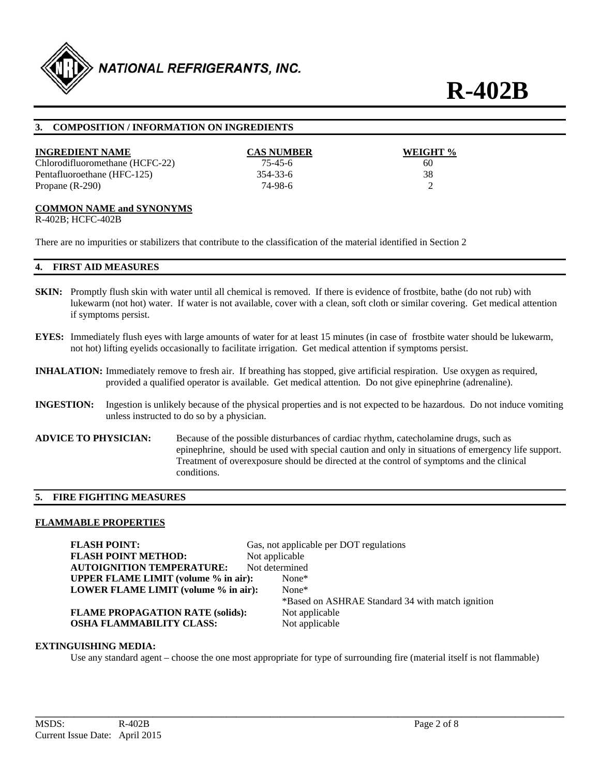

#### **3. COMPOSITION / INFORMATION ON INGREDIENTS**

#### **INGREDIENT NAME CAS NUMBER WEIGHT %**

Chlorodifluoromethane (HCFC-22) 75-45-6 60 Pentafluoroethane (HFC-125) 354-33-6 38 Propane (R-290) 74-98-6 2

#### **COMMON NAME and SYNONYMS**

R-402B; HCFC-402B

There are no impurities or stabilizers that contribute to the classification of the material identified in Section 2

#### **4. FIRST AID MEASURES**

- **SKIN:** Promptly flush skin with water until all chemical is removed. If there is evidence of frostbite, bathe (do not rub) with lukewarm (not hot) water. If water is not available, cover with a clean, soft cloth or similar covering. Get medical attention if symptoms persist.
- **EYES:** Immediately flush eyes with large amounts of water for at least 15 minutes (in case of frostbite water should be lukewarm, not hot) lifting eyelids occasionally to facilitate irrigation. Get medical attention if symptoms persist.
- **INHALATION:** Immediately remove to fresh air. If breathing has stopped, give artificial respiration. Use oxygen as required, provided a qualified operator is available. Get medical attention. Do not give epinephrine (adrenaline).
- **INGESTION:** Ingestion is unlikely because of the physical properties and is not expected to be hazardous. Do not induce vomiting unless instructed to do so by a physician.
- **ADVICE TO PHYSICIAN:** Because of the possible disturbances of cardiac rhythm, catecholamine drugs, such as epinephrine, should be used with special caution and only in situations of emergency life support. Treatment of overexposure should be directed at the control of symptoms and the clinical conditions.

#### **5. FIRE FIGHTING MEASURES**

#### **FLAMMABLE PROPERTIES**

**FLASH POINT:** Gas, not applicable per DOT regulations **FLASH POINT METHOD:** Not applicable **AUTOIGNITION TEMPERATURE:** Not determined **UPPER FLAME LIMIT (volume % in air):** None\* **LOWER FLAME LIMIT (volume % in air):** None\* \*Based on ASHRAE Standard 34 with match ignition **FLAME PROPAGATION RATE (solids):** Not applicable **OSHA FLAMMABILITY CLASS:** Not applicable

#### **EXTINGUISHING MEDIA:**

Use any standard agent – choose the one most appropriate for type of surrounding fire (material itself is not flammable)

**\_\_\_\_\_\_\_\_\_\_\_\_\_\_\_\_\_\_\_\_\_\_\_\_\_\_\_\_\_\_\_\_\_\_\_\_\_\_\_\_\_\_\_\_\_\_\_\_\_\_\_\_\_\_\_\_\_\_\_\_\_\_\_\_\_\_\_\_\_\_\_\_\_\_\_\_\_\_\_\_\_\_\_\_\_\_\_\_\_\_\_\_\_\_\_\_\_\_\_\_\_\_\_\_\_\_\_\_**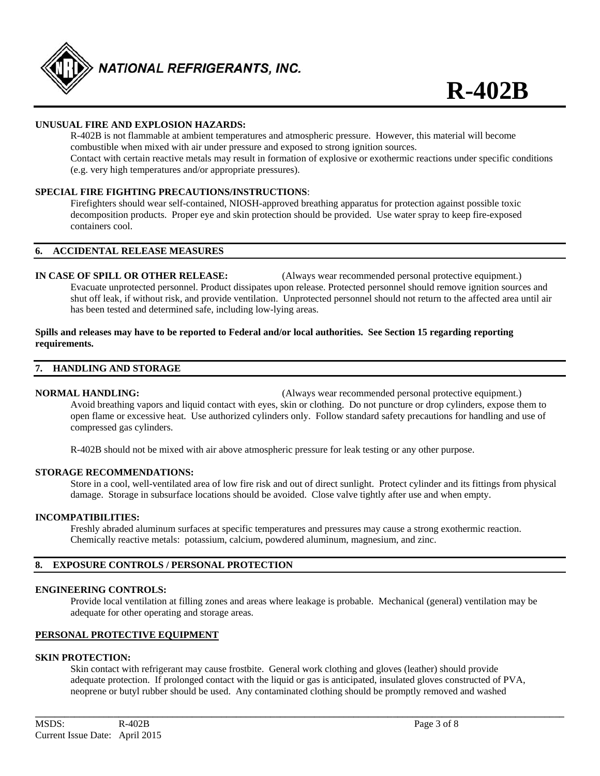

#### **UNUSUAL FIRE AND EXPLOSION HAZARDS:**

 R-402B is not flammable at ambient temperatures and atmospheric pressure. However, this material will become combustible when mixed with air under pressure and exposed to strong ignition sources. Contact with certain reactive metals may result in formation of explosive or exothermic reactions under specific conditions (e.g. very high temperatures and/or appropriate pressures).

#### **SPECIAL FIRE FIGHTING PRECAUTIONS/INSTRUCTIONS**:

 Firefighters should wear self-contained, NIOSH-approved breathing apparatus for protection against possible toxic decomposition products. Proper eye and skin protection should be provided. Use water spray to keep fire-exposed containers cool.

#### **6. ACCIDENTAL RELEASE MEASURES**

**IN CASE OF SPILL OR OTHER RELEASE:** (Always wear recommended personal protective equipment.) Evacuate unprotected personnel. Product dissipates upon release. Protected personnel should remove ignition sources and shut off leak, if without risk, and provide ventilation. Unprotected personnel should not return to the affected area until air has been tested and determined safe, including low-lying areas.

#### **Spills and releases may have to be reported to Federal and/or local authorities. See Section 15 regarding reporting requirements.**

#### **7. HANDLING AND STORAGE**

**NORMAL HANDLING:** (Always wear recommended personal protective equipment.) Avoid breathing vapors and liquid contact with eyes, skin or clothing. Do not puncture or drop cylinders, expose them to open flame or excessive heat. Use authorized cylinders only. Follow standard safety precautions for handling and use of compressed gas cylinders.

R-402B should not be mixed with air above atmospheric pressure for leak testing or any other purpose.

#### **STORAGE RECOMMENDATIONS:**

 Store in a cool, well-ventilated area of low fire risk and out of direct sunlight. Protect cylinder and its fittings from physical damage. Storage in subsurface locations should be avoided. Close valve tightly after use and when empty.

#### **INCOMPATIBILITIES:**

Freshly abraded aluminum surfaces at specific temperatures and pressures may cause a strong exothermic reaction. Chemically reactive metals: potassium, calcium, powdered aluminum, magnesium, and zinc.

#### **8. EXPOSURE CONTROLS / PERSONAL PROTECTION**

#### **ENGINEERING CONTROLS:**

 Provide local ventilation at filling zones and areas where leakage is probable. Mechanical (general) ventilation may be adequate for other operating and storage areas.

#### **PERSONAL PROTECTIVE EQUIPMENT**

#### **SKIN PROTECTION:**

 Skin contact with refrigerant may cause frostbite. General work clothing and gloves (leather) should provide adequate protection. If prolonged contact with the liquid or gas is anticipated, insulated gloves constructed of PVA, neoprene or butyl rubber should be used. Any contaminated clothing should be promptly removed and washed

**\_\_\_\_\_\_\_\_\_\_\_\_\_\_\_\_\_\_\_\_\_\_\_\_\_\_\_\_\_\_\_\_\_\_\_\_\_\_\_\_\_\_\_\_\_\_\_\_\_\_\_\_\_\_\_\_\_\_\_\_\_\_\_\_\_\_\_\_\_\_\_\_\_\_\_\_\_\_\_\_\_\_\_\_\_\_\_\_\_\_\_\_\_\_\_\_\_\_\_\_\_\_\_\_\_\_\_\_**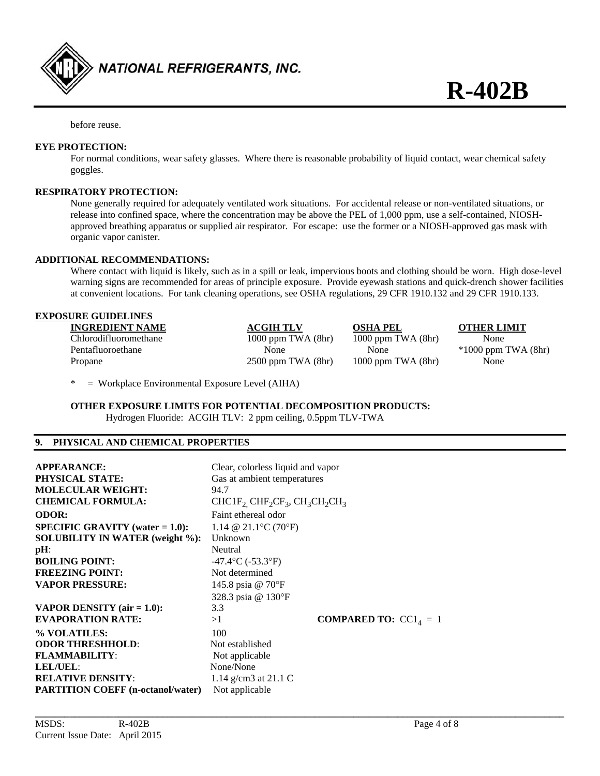

before reuse.

#### **EYE PROTECTION:**

 For normal conditions, wear safety glasses. Where there is reasonable probability of liquid contact, wear chemical safety goggles.

#### **RESPIRATORY PROTECTION:**

 None generally required for adequately ventilated work situations. For accidental release or non-ventilated situations, or release into confined space, where the concentration may be above the PEL of 1,000 ppm, use a self-contained, NIOSH approved breathing apparatus or supplied air respirator. For escape: use the former or a NIOSH-approved gas mask with organic vapor canister.

#### **ADDITIONAL RECOMMENDATIONS:**

 Where contact with liquid is likely, such as in a spill or leak, impervious boots and clothing should be worn. High dose-level warning signs are recommended for areas of principle exposure. Provide eyewash stations and quick-drench shower facilities at convenient locations. For tank cleaning operations, see OSHA regulations, 29 CFR 1910.132 and 29 CFR 1910.133.

#### **EXPOSURE GUIDELINES**

| <b>INGREDIENT NAME</b> | <b>ACGIH TLV</b>       | <b>OSHA PEL</b>        | <b>OTHER LI</b> |
|------------------------|------------------------|------------------------|-----------------|
| Chlorodifluoromethane  | $1000$ ppm TWA $(8hr)$ | 1000 ppm TWA $(8hr)$   | None            |
| Pentafluoroethane      | None                   | None                   | $*1000$ ppm     |
| Propane                | $2500$ ppm TWA $(8hr)$ | $1000$ ppm TWA $(8hr)$ | None            |

*OTHER LIMIT*  $*1000$  ppm TWA (8hr)

\* = Workplace Environmental Exposure Level (AIHA)

**OTHER EXPOSURE LIMITS FOR POTENTIAL DECOMPOSITION PRODUCTS:**  Hydrogen Fluoride: ACGIH TLV: 2 ppm ceiling, 0.5ppm TLV-TWA

#### **9. PHYSICAL AND CHEMICAL PROPERTIES**

| <b>APPEARANCE:</b><br><b>PHYSICAL STATE:</b><br><b>MOLECULAR WEIGHT:</b><br><b>CHEMICAL FORMULA:</b>                                                                                                                    | Clear, colorless liquid and vapor<br>Gas at ambient temperatures<br>94.7<br>$CHCIF2 CHF2CF3, CH3CH2CH3$                                                  |  |
|-------------------------------------------------------------------------------------------------------------------------------------------------------------------------------------------------------------------------|----------------------------------------------------------------------------------------------------------------------------------------------------------|--|
| <b>ODOR:</b><br><b>SPECIFIC GRAVITY</b> (water $= 1.0$ ):<br><b>SOLUBILITY IN WATER (weight %):</b><br>$pH$ :<br><b>BOILING POINT:</b><br><b>FREEZING POINT:</b><br><b>VAPOR PRESSURE:</b>                              | Faint ethereal odor<br>1.14 @ 21.1 °C (70 °F)<br>Unknown<br>Neutral<br>$-47.4$ °C (-53.3°F)<br>Not determined<br>145.8 psia @ 70°F<br>328.3 psia @ 130°F |  |
| VAPOR DENSITY $(air = 1.0)$ :<br><b>EVAPORATION RATE:</b><br>% VOLATILES:<br><b>ODOR THRESHHOLD:</b><br><b>FLAMMABILITY:</b><br><b>LEL/UEL:</b><br><b>RELATIVE DENSITY:</b><br><b>PARTITION COEFF</b> (n-octanol/water) | 3.3<br><b>COMPARED TO:</b> $CC14 = 1$<br>>1<br>100<br>Not established<br>Not applicable<br>None/None<br>1.14 g/cm3 at 21.1 C<br>Not applicable           |  |

**\_\_\_\_\_\_\_\_\_\_\_\_\_\_\_\_\_\_\_\_\_\_\_\_\_\_\_\_\_\_\_\_\_\_\_\_\_\_\_\_\_\_\_\_\_\_\_\_\_\_\_\_\_\_\_\_\_\_\_\_\_\_\_\_\_\_\_\_\_\_\_\_\_\_\_\_\_\_\_\_\_\_\_\_\_\_\_\_\_\_\_\_\_\_\_\_\_\_\_\_\_\_\_\_\_\_\_\_**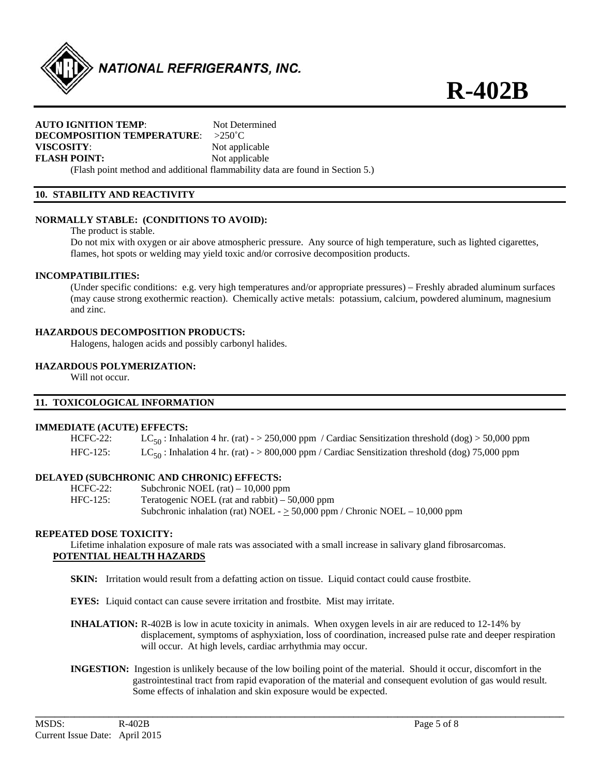

#### **AUTO IGNITION TEMP:** Not Determined **DECOMPOSITION TEMPERATURE**: >250˚C **VISCOSITY:** Not applicable **FLASH POINT:** Not applicable

(Flash point method and additional flammability data are found in Section 5.)

#### **10. STABILITY AND REACTIVITY**

#### **NORMALLY STABLE: (CONDITIONS TO AVOID):**

The product is stable.

 Do not mix with oxygen or air above atmospheric pressure. Any source of high temperature, such as lighted cigarettes, flames, hot spots or welding may yield toxic and/or corrosive decomposition products.

#### **INCOMPATIBILITIES:**

 (Under specific conditions: e.g. very high temperatures and/or appropriate pressures) – Freshly abraded aluminum surfaces (may cause strong exothermic reaction). Chemically active metals: potassium, calcium, powdered aluminum, magnesium and zinc.

#### **HAZARDOUS DECOMPOSITION PRODUCTS:**

Halogens, halogen acids and possibly carbonyl halides.

#### **HAZARDOUS POLYMERIZATION:**

Will not occur.

#### **11. TOXICOLOGICAL INFORMATION**

#### **IMMEDIATE (ACUTE) EFFECTS:**

HCFC-22: LC<sub>50</sub>: Inhalation 4 hr. (rat) - > 250,000 ppm / Cardiac Sensitization threshold (dog) > 50,000 ppm HFC-125: LC<sub>50</sub>: Inhalation 4 hr. (rat) - > 800,000 ppm / Cardiac Sensitization threshold (dog) 75,000 ppm

#### **DELAYED (SUBCHRONIC AND CHRONIC) EFFECTS:**

| $HCFC-22:$ | Subchronic NOEL $(rat) - 10,000$ ppm                                             |
|------------|----------------------------------------------------------------------------------|
| $HEC-125:$ | Teratogenic NOEL (rat and rabbit) $-50,000$ ppm                                  |
|            | Subchronic inhalation (rat) NOEL - $\geq$ 50,000 ppm / Chronic NOEL - 10,000 ppm |

#### **REPEATED DOSE TOXICITY:**

 Lifetime inhalation exposure of male rats was associated with a small increase in salivary gland fibrosarcomas. **POTENTIAL HEALTH HAZARDS** 

**SKIN:** Irritation would result from a defatting action on tissue. Liquid contact could cause frostbite.

**EYES:** Liquid contact can cause severe irritation and frostbite. Mist may irritate.

- **INHALATION:** R-402B is low in acute toxicity in animals. When oxygen levels in air are reduced to 12-14% by displacement, symptoms of asphyxiation, loss of coordination, increased pulse rate and deeper respiration will occur. At high levels, cardiac arrhythmia may occur.
- **INGESTION:** Ingestion is unlikely because of the low boiling point of the material. Should it occur, discomfort in the gastrointestinal tract from rapid evaporation of the material and consequent evolution of gas would result. Some effects of inhalation and skin exposure would be expected.

**\_\_\_\_\_\_\_\_\_\_\_\_\_\_\_\_\_\_\_\_\_\_\_\_\_\_\_\_\_\_\_\_\_\_\_\_\_\_\_\_\_\_\_\_\_\_\_\_\_\_\_\_\_\_\_\_\_\_\_\_\_\_\_\_\_\_\_\_\_\_\_\_\_\_\_\_\_\_\_\_\_\_\_\_\_\_\_\_\_\_\_\_\_\_\_\_\_\_\_\_\_\_\_\_\_\_\_\_** 

**R-402B**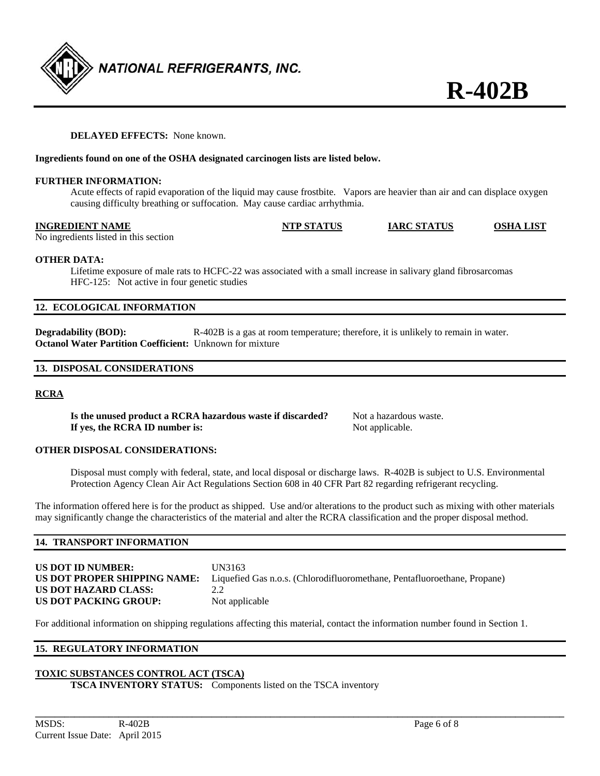## **DELAYED EFFECTS:** None known.

### **Ingredients found on one of the OSHA designated carcinogen lists are listed below.**

#### **FURTHER INFORMATION:**

 Acute effects of rapid evaporation of the liquid may cause frostbite. Vapors are heavier than air and can displace oxygen causing difficulty breathing or suffocation. May cause cardiac arrhythmia.

#### **INGREDIENT NAME NTP STATUS IARC STATUS OSHA LIST**

No ingredients listed in this section

### **OTHER DATA:**

 Lifetime exposure of male rats to HCFC-22 was associated with a small increase in salivary gland fibrosarcomas HFC-125: Not active in four genetic studies

### **12. ECOLOGICAL INFORMATION**

**Degradability (BOD):** R-402B is a gas at room temperature; therefore, it is unlikely to remain in water. **Octanol Water Partition Coefficient:** Unknown for mixture

### **13. DISPOSAL CONSIDERATIONS**

#### **RCRA**

**Is the unused product a RCRA hazardous waste if discarded?** Not a hazardous waste. **If yes, the RCRA ID number is:** Not applicable.

**OTHER DISPOSAL CONSIDERATIONS:** 

Disposal must comply with federal, state, and local disposal or discharge laws. R-402B is subject to U.S. Environmental Protection Agency Clean Air Act Regulations Section 608 in 40 CFR Part 82 regarding refrigerant recycling.

The information offered here is for the product as shipped. Use and/or alterations to the product such as mixing with other materials may significantly change the characteristics of the material and alter the RCRA classification and the proper disposal method.

#### **14. TRANSPORT INFORMATION**

**US DOT ID NUMBER:** UN3163 **US DOT PROPER SHIPPING NAME:** Liquefied Gas n.o.s. (Chlorodifluoromethane, Pentafluoroethane, Propane) **US DOT HAZARD CLASS:** 2.2 **US DOT PACKING GROUP:** Not applicable

For additional information on shipping regulations affecting this material, contact the information number found in Section 1.

#### **15. REGULATORY INFORMATION**

#### **TOXIC SUBSTANCES CONTROL ACT (TSCA)**

**TSCA INVENTORY STATUS:** Components listed on the TSCA inventory

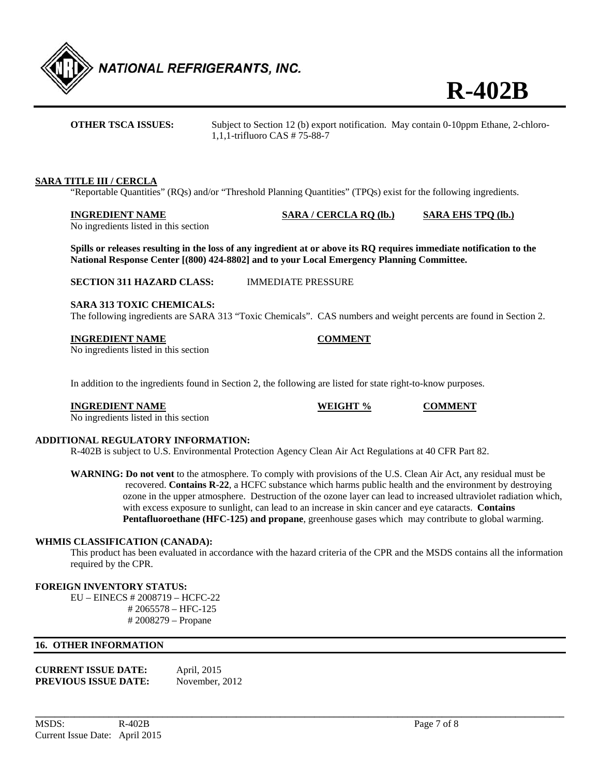

**OTHER TSCA ISSUES:** Subject to Section 12 (b) export notification. May contain 0-10ppm Ethane, 2-chloro-1,1,1-trifluoro CAS # 75-88-7

#### **SARA TITLE III / CERCLA**

"Reportable Quantities" (RQs) and/or "Threshold Planning Quantities" (TPQs) exist for the following ingredients.

**INGREDIENT NAME SARA / CERCLA RQ (lb.) SARA EHS TPQ (lb.)**

No ingredients listed in this section

**Spills or releases resulting in the loss of any ingredient at or above its RQ requires immediate notification to the National Response Center [(800) 424-8802] and to your Local Emergency Planning Committee.** 

**SECTION 311 HAZARD CLASS:** IMMEDIATE PRESSURE

#### **SARA 313 TOXIC CHEMICALS:**

The following ingredients are SARA 313 "Toxic Chemicals". CAS numbers and weight percents are found in Section 2.

#### **INGREDIENT NAME COMMENT**

No ingredients listed in this section

In addition to the ingredients found in Section 2, the following are listed for state right-to-know purposes.

**INGREDIENT NAME WEIGHT % COMMENT** 

No ingredients listed in this section

#### **ADDITIONAL REGULATORY INFORMATION:**

R-402B is subject to U.S. Environmental Protection Agency Clean Air Act Regulations at 40 CFR Part 82.

**WARNING: Do not vent** to the atmosphere. To comply with provisions of the U.S. Clean Air Act, any residual must be recovered. **Contains R-22**, a HCFC substance which harms public health and the environment by destroying ozone in the upper atmosphere. Destruction of the ozone layer can lead to increased ultraviolet radiation which, with excess exposure to sunlight, can lead to an increase in skin cancer and eye cataracts. **Contains Pentafluoroethane (HFC-125) and propane**, greenhouse gases which may contribute to global warming.

#### **WHMIS CLASSIFICATION (CANADA):**

 This product has been evaluated in accordance with the hazard criteria of the CPR and the MSDS contains all the information required by the CPR.

**\_\_\_\_\_\_\_\_\_\_\_\_\_\_\_\_\_\_\_\_\_\_\_\_\_\_\_\_\_\_\_\_\_\_\_\_\_\_\_\_\_\_\_\_\_\_\_\_\_\_\_\_\_\_\_\_\_\_\_\_\_\_\_\_\_\_\_\_\_\_\_\_\_\_\_\_\_\_\_\_\_\_\_\_\_\_\_\_\_\_\_\_\_\_\_\_\_\_\_\_\_\_\_\_\_\_\_\_** 

#### **FOREIGN INVENTORY STATUS:**

EU – EINECS # 2008719 – HCFC-22 # 2065578 – HFC-125 # 2008279 – Propane

### **16. OTHER INFORMATION**

| <b>CURRENT ISSUE DATE:</b>  | April, 2015    |
|-----------------------------|----------------|
| <b>PREVIOUS ISSUE DATE:</b> | November, 2012 |